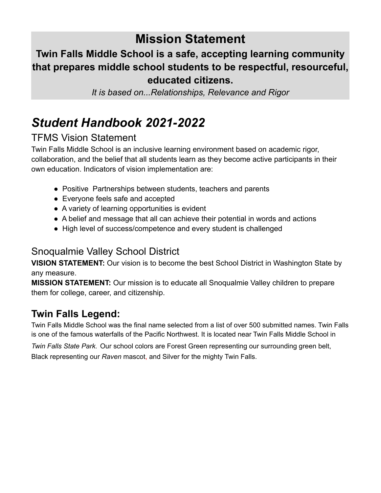### **Mission Statement**

### **Twin Falls Middle School is a safe, accepting learning community that prepares middle school students to be respectful, resourceful, educated citizens.**

*It is based on...Relationships, Relevance and Rigor*

### *Student Handbook 2021-2022*

### TFMS Vision Statement

Twin Falls Middle School is an inclusive learning environment based on academic rigor, collaboration, and the belief that all students learn as they become active participants in their own education. Indicators of vision implementation are:

- Positive Partnerships between students, teachers and parents
- Everyone feels safe and accepted
- A variety of learning opportunities is evident
- A belief and message that all can achieve their potential in words and actions
- High level of success/competence and every student is challenged

### Snoqualmie Valley School District

**VISION STATEMENT:** Our vision is to become the best School District in Washington State by any measure.

**MISSION STATEMENT:** Our mission is to educate all Snoqualmie Valley children to prepare them for college, career, and citizenship.

### **Twin Falls Legend:**

Twin Falls Middle School was the final name selected from a list of over 500 submitted names. Twin Falls is one of the famous waterfalls of the Pacific Northwest. It is located near Twin Falls Middle School in

*Twin Falls State Park.* Our school colors are Forest Green representing our surrounding green belt, Black representing our *Raven* mascot, and Silver for the mighty Twin Falls.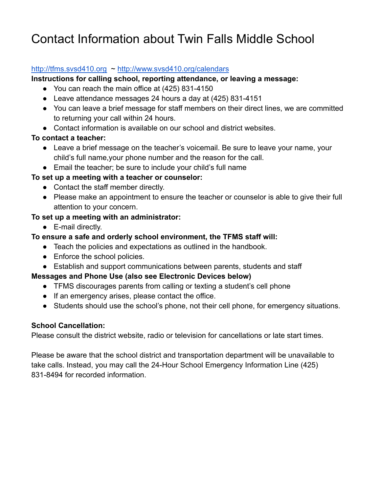### Contact Information about Twin Falls Middle School

#### <http://tfms.svsd410.org> ~ <http://www.svsd410.org/calendars>

#### **Instructions for calling school, reporting attendance, or leaving a message:**

- You can reach the main office at (425) 831-4150
- Leave attendance messages 24 hours a day at (425) 831-4151
- You can leave a brief message for staff members on their direct lines, we are committed to returning your call within 24 hours.
- Contact information is available on our school and district websites.

#### **To contact a teacher:**

- Leave a brief message on the teacher's voicemail. Be sure to leave your name, your child's full name,your phone number and the reason for the call.
- Email the teacher; be sure to include your child's full name

#### **To set up a meeting with a teacher or counselor:**

- Contact the staff member directly.
- Please make an appointment to ensure the teacher or counselor is able to give their full attention to your concern.

#### **To set up a meeting with an administrator:**

- E-mail directly.
- **To ensure a safe and orderly school environment, the TFMS staff will:**
	- Teach the policies and expectations as outlined in the handbook.
	- Enforce the school policies.
	- Establish and support communications between parents, students and staff

#### **Messages and Phone Use (also see Electronic Devices below)**

- TFMS discourages parents from calling or texting a student's cell phone
- If an emergency arises, please contact the office.
- Students should use the school's phone, not their cell phone, for emergency situations.

#### **School Cancellation:**

Please consult the district website, radio or television for cancellations or late start times.

Please be aware that the school district and transportation department will be unavailable to take calls. Instead, you may call the 24-Hour School Emergency Information Line (425) 831-8494 for recorded information.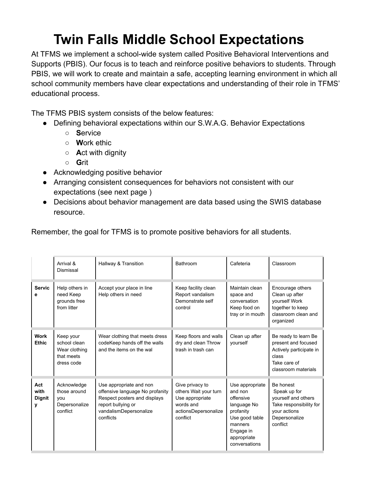### **Twin Falls Middle School Expectations**

At TFMS we implement a school-wide system called Positive Behavioral Interventions and Supports (PBIS). Our focus is to teach and reinforce positive behaviors to students. Through PBIS, we will work to create and maintain a safe, accepting learning environment in which all school community members have clear expectations and understanding of their role in TFMS' educational process.

The TFMS PBIS system consists of the below features:

- Defining behavioral expectations within our S.W.A.G. Behavior Expectations
	- **S**ervice
	- **W**ork ethic
	- **A**ct with dignity
	- **G**rit
- Acknowledging positive behavior
- Arranging consistent consequences for behaviors not consistent with our expectations (see next page )
- Decisions about behavior management are data based using the SWIS database resource.

Remember, the goal for TFMS is to promote positive behaviors for all students.

|                                   | Arrival &<br>Dismissal                                                 | Hallway & Transition                                                                                                                                    | Bathroom                                                                                                     | Cafeteria                                                                                                                                     | Classroom                                                                                                                |
|-----------------------------------|------------------------------------------------------------------------|---------------------------------------------------------------------------------------------------------------------------------------------------------|--------------------------------------------------------------------------------------------------------------|-----------------------------------------------------------------------------------------------------------------------------------------------|--------------------------------------------------------------------------------------------------------------------------|
| <b>Servic</b><br>е                | Help others in<br>need Keep<br>grounds free<br>from litter             | Accept your place in line<br>Help others in need                                                                                                        | Keep facility clean<br>Report vandalism<br>Demonstrate self<br>control                                       | Maintain clean<br>space and<br>conversation<br>Keep food on<br>tray or in mouth                                                               | Encourage others<br>Clean up after<br>yourself Work<br>together to keep<br>classroom clean and<br>organized              |
| <b>Work</b><br><b>Ethic</b>       | Keep your<br>school clean<br>Wear clothing<br>that meets<br>dress code | Wear clothing that meets dress<br>codeKeep hands off the walls<br>and the items on the wal                                                              | Keep floors and walls<br>dry and clean Throw<br>trash in trash can                                           | Clean up after<br>vourself                                                                                                                    | Be ready to learn Be<br>present and focused<br>Actively participate in<br>class<br>Take care of<br>classroom materials   |
| Act<br>with<br><b>Dignit</b><br>y | Acknowledge<br>those around<br>vou<br>Depersonalize<br>conflict        | Use appropriate and non<br>offensive language No profanity<br>Respect posters and displays<br>report bullying or<br>vandalismDepersonalize<br>conflicts | Give privacy to<br>others Wait your turn<br>Use appropriate<br>words and<br>actionsDepersonalize<br>conflict | Use appropriate<br>and non<br>offensive<br>language No<br>profanity<br>Use good table<br>manners<br>Engage in<br>appropriate<br>conversations | Be honest<br>Speak up for<br>yourself and others<br>Take responsibility for<br>your actions<br>Depersonalize<br>conflict |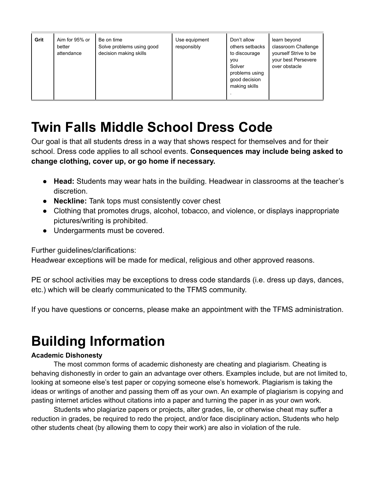| Grit | Aim for 95% or<br>better<br>attendance | Be on time<br>Solve problems using good<br>decision making skills | Use equipment<br>responsibly | Don't allow<br>others setbacks<br>to discourage<br><b>VOU</b><br>Solver<br>problems using<br>good decision<br>making skills | learn beyond<br>classroom Challenge<br>yourself Strive to be<br>your best Persevere<br>over obstacle |
|------|----------------------------------------|-------------------------------------------------------------------|------------------------------|-----------------------------------------------------------------------------------------------------------------------------|------------------------------------------------------------------------------------------------------|
|------|----------------------------------------|-------------------------------------------------------------------|------------------------------|-----------------------------------------------------------------------------------------------------------------------------|------------------------------------------------------------------------------------------------------|

### **Twin Falls Middle School Dress Code**

Our goal is that all students dress in a way that shows respect for themselves and for their school. Dress code applies to all school events. **Consequences may include being asked to change clothing, cover up, or go home if necessary.**

- **Head:** Students may wear hats in the building. Headwear in classrooms at the teacher's discretion.
- **Neckline:** Tank tops must consistently cover chest
- Clothing that promotes drugs, alcohol, tobacco, and violence, or displays inappropriate pictures/writing is prohibited.
- Undergarments must be covered.

Further guidelines/clarifications:

Headwear exceptions will be made for medical, religious and other approved reasons.

PE or school activities may be exceptions to dress code standards (i.e. dress up days, dances, etc.) which will be clearly communicated to the TFMS community.

If you have questions or concerns, please make an appointment with the TFMS administration.

### **Building Information**

#### **Academic Dishonesty**

The most common forms of academic dishonesty are cheating and plagiarism. Cheating is behaving dishonestly in order to gain an advantage over others. Examples include, but are not limited to, looking at someone else's test paper or copying someone else's homework. Plagiarism is taking the ideas or writings of another and passing them off as your own. An example of plagiarism is copying and pasting internet articles without citations into a paper and turning the paper in as your own work.

Students who plagiarize papers or projects, alter grades, lie, or otherwise cheat may suffer a reduction in grades, be required to redo the project, and/or face disciplinary action**.** Students who help other students cheat (by allowing them to copy their work) are also in violation of the rule.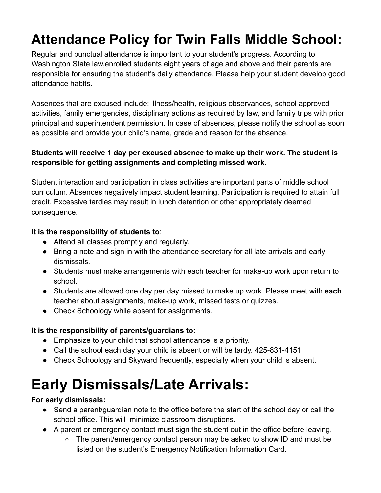# **Attendance Policy for Twin Falls Middle School:**

Regular and punctual attendance is important to your student's progress. According to Washington State law,enrolled students eight years of age and above and their parents are responsible for ensuring the student's daily attendance. Please help your student develop good attendance habits.

Absences that are excused include: illness/health, religious observances, school approved activities, family emergencies, disciplinary actions as required by law, and family trips with prior principal and superintendent permission. In case of absences, please notify the school as soon as possible and provide your child's name, grade and reason for the absence.

#### **Students will receive 1 day per excused absence to make up their work. The student is responsible for getting assignments and completing missed work.**

Student interaction and participation in class activities are important parts of middle school curriculum. Absences negatively impact student learning. Participation is required to attain full credit. Excessive tardies may result in lunch detention or other appropriately deemed consequence.

#### **It is the responsibility of students to**:

- Attend all classes promptly and regularly.
- Bring a note and sign in with the attendance secretary for all late arrivals and early dismissals.
- Students must make arrangements with each teacher for make-up work upon return to school.
- Students are allowed one day per day missed to make up work. Please meet with **each** teacher about assignments, make-up work, missed tests or quizzes.
- Check Schoology while absent for assignments.

#### **It is the responsibility of parents/guardians to:**

- Emphasize to your child that school attendance is a priority.
- Call the school each day your child is absent or will be tardy. 425-831-4151
- Check Schoology and Skyward frequently, especially when your child is absent.

# **Early Dismissals/Late Arrivals:**

#### **For early dismissals:**

- Send a parent/guardian note to the office before the start of the school day or call the school office. This will minimize classroom disruptions.
- A parent or emergency contact must sign the student out in the office before leaving.
	- The parent/emergency contact person may be asked to show ID and must be listed on the student's Emergency Notification Information Card.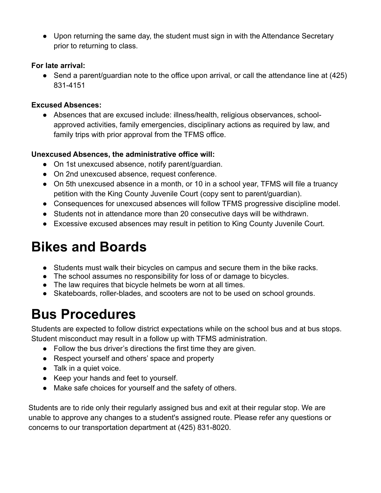● Upon returning the same day, the student must sign in with the Attendance Secretary prior to returning to class.

#### **For late arrival:**

• Send a parent/guardian note to the office upon arrival, or call the attendance line at (425) 831-4151

#### **Excused Absences:**

● Absences that are excused include: illness/health, religious observances, schoolapproved activities, family emergencies, disciplinary actions as required by law, and family trips with prior approval from the TFMS office.

#### **Unexcused Absences, the administrative office will:**

- On 1st unexcused absence, notify parent/guardian.
- On 2nd unexcused absence, request conference.
- On 5th unexcused absence in a month, or 10 in a school year, TFMS will file a truancy petition with the King County Juvenile Court (copy sent to parent/guardian).
- Consequences for unexcused absences will follow TFMS progressive discipline model.
- Students not in attendance more than 20 consecutive days will be withdrawn.
- Excessive excused absences may result in petition to King County Juvenile Court.

### **Bikes and Boards**

- Students must walk their bicycles on campus and secure them in the bike racks.
- The school assumes no responsibility for loss of or damage to bicycles.
- The law requires that bicycle helmets be worn at all times.
- Skateboards, roller-blades, and scooters are not to be used on school grounds.

### **Bus Procedures**

Students are expected to follow district expectations while on the school bus and at bus stops. Student misconduct may result in a follow up with TFMS administration.

- Follow the bus driver's directions the first time they are given.
- Respect yourself and others' space and property
- Talk in a quiet voice.
- Keep your hands and feet to yourself.
- Make safe choices for yourself and the safety of others.

Students are to ride only their regularly assigned bus and exit at their regular stop. We are unable to approve any changes to a student's assigned route. Please refer any questions or concerns to our transportation department at (425) 831-8020.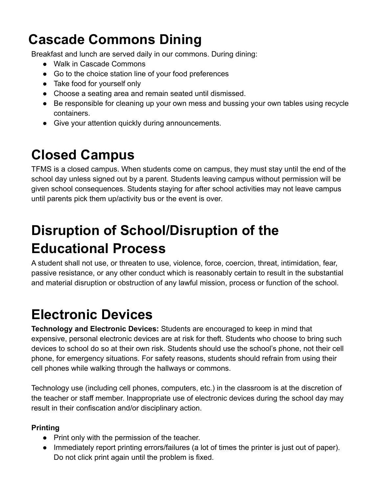### **Cascade Commons Dining**

Breakfast and lunch are served daily in our commons. During dining:

- Walk in Cascade Commons
- Go to the choice station line of your food preferences
- Take food for yourself only
- Choose a seating area and remain seated until dismissed.
- Be responsible for cleaning up your own mess and bussing your own tables using recycle containers.
- Give your attention quickly during announcements.

### **Closed Campus**

TFMS is a closed campus. When students come on campus, they must stay until the end of the school day unless signed out by a parent. Students leaving campus without permission will be given school consequences. Students staying for after school activities may not leave campus until parents pick them up/activity bus or the event is over.

# **Disruption of School/Disruption of the Educational Process**

A student shall not use, or threaten to use, violence, force, coercion, threat, intimidation, fear, passive resistance, or any other conduct which is reasonably certain to result in the substantial and material disruption or obstruction of any lawful mission, process or function of the school.

## **Electronic Devices**

**Technology and Electronic Devices:** Students are encouraged to keep in mind that expensive, personal electronic devices are at risk for theft. Students who choose to bring such devices to school do so at their own risk. Students should use the school's phone, not their cell phone, for emergency situations. For safety reasons, students should refrain from using their cell phones while walking through the hallways or commons.

Technology use (including cell phones, computers, etc.) in the classroom is at the discretion of the teacher or staff member. Inappropriate use of electronic devices during the school day may result in their confiscation and/or disciplinary action.

#### **Printing**

- Print only with the permission of the teacher.
- Immediately report printing errors/failures (a lot of times the printer is just out of paper). Do not click print again until the problem is fixed.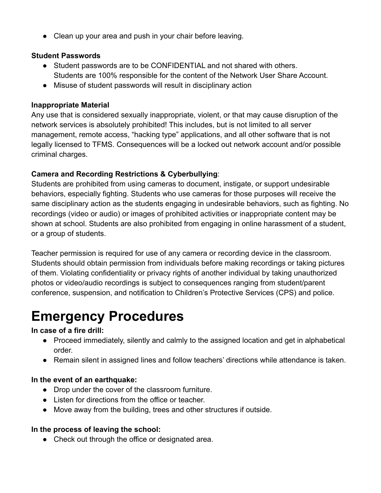● Clean up your area and push in your chair before leaving.

#### **Student Passwords**

- Student passwords are to be CONFIDENTIAL and not shared with others. Students are 100% responsible for the content of the Network User Share Account.
- Misuse of student passwords will result in disciplinary action

#### **Inappropriate Material**

Any use that is considered sexually inappropriate, violent, or that may cause disruption of the network services is absolutely prohibited! This includes, but is not limited to all server management, remote access, "hacking type" applications, and all other software that is not legally licensed to TFMS. Consequences will be a locked out network account and/or possible criminal charges.

#### **Camera and Recording Restrictions & Cyberbullying**:

Students are prohibited from using cameras to document, instigate, or support undesirable behaviors, especially fighting. Students who use cameras for those purposes will receive the same disciplinary action as the students engaging in undesirable behaviors, such as fighting. No recordings (video or audio) or images of prohibited activities or inappropriate content may be shown at school. Students are also prohibited from engaging in online harassment of a student, or a group of students.

Teacher permission is required for use of any camera or recording device in the classroom. Students should obtain permission from individuals before making recordings or taking pictures of them. Violating confidentiality or privacy rights of another individual by taking unauthorized photos or video/audio recordings is subject to consequences ranging from student/parent conference, suspension, and notification to Children's Protective Services (CPS) and police.

### **Emergency Procedures**

#### **In case of a fire drill:**

- Proceed immediately, silently and calmly to the assigned location and get in alphabetical order.
- Remain silent in assigned lines and follow teachers' directions while attendance is taken.

#### **In the event of an earthquake:**

- Drop under the cover of the classroom furniture.
- Listen for directions from the office or teacher.
- Move away from the building, trees and other structures if outside.

#### **In the process of leaving the school:**

• Check out through the office or designated area.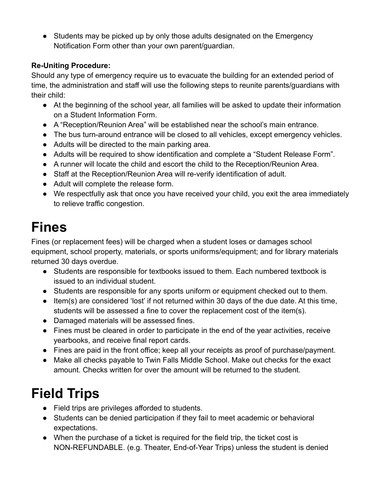● Students may be picked up by only those adults designated on the Emergency Notification Form other than your own parent/guardian.

#### **Re-Uniting Procedure:**

Should any type of emergency require us to evacuate the building for an extended period of time, the administration and staff will use the following steps to reunite parents/guardians with their child:

- At the beginning of the school year, all families will be asked to update their information on a Student Information Form.
- A "Reception/Reunion Area" will be established near the school's main entrance.
- The bus turn-around entrance will be closed to all vehicles, except emergency vehicles.
- Adults will be directed to the main parking area.
- Adults will be required to show identification and complete a "Student Release Form".
- A runner will locate the child and escort the child to the Reception/Reunion Area.
- Staff at the Reception/Reunion Area will re-verify identification of adult.
- Adult will complete the release form.
- We respectfully ask that once you have received your child, you exit the area immediately to relieve traffic congestion.

## **Fines**

Fines (or replacement fees) will be charged when a student loses or damages school equipment, school property, materials, or sports uniforms/equipment; and for library materials returned 30 days overdue.

- Students are responsible for textbooks issued to them. Each numbered textbook is issued to an individual student.
- Students are responsible for any sports uniform or equipment checked out to them.
- Item(s) are considered 'lost' if not returned within 30 days of the due date. At this time, students will be assessed a fine to cover the replacement cost of the item(s).
- Damaged materials will be assessed fines.
- Fines must be cleared in order to participate in the end of the year activities, receive yearbooks, and receive final report cards.
- Fines are paid in the front office; keep all your receipts as proof of purchase/payment.
- Make all checks payable to Twin Falls Middle School. Make out checks for the exact amount. Checks written for over the amount will be returned to the student.

# **Field Trips**

- Field trips are privileges afforded to students.
- Students can be denied participation if they fail to meet academic or behavioral expectations.
- When the purchase of a ticket is required for the field trip, the ticket cost is NON-REFUNDABLE. (e.g. Theater, End-of-Year Trips) unless the student is denied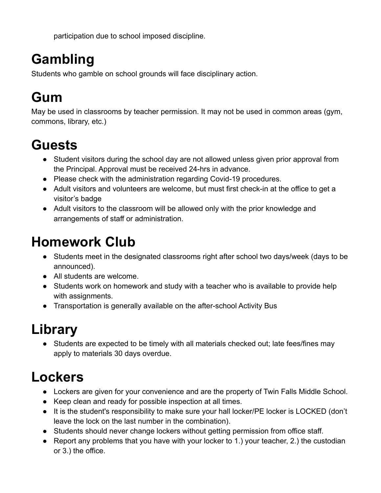participation due to school imposed discipline.

# **Gambling**

Students who gamble on school grounds will face disciplinary action.

### **Gum**

May be used in classrooms by teacher permission. It may not be used in common areas (gym, commons, library, etc.)

### **Guests**

- Student visitors during the school day are not allowed unless given prior approval from the Principal. Approval must be received 24-hrs in advance.
- Please check with the administration regarding Covid-19 procedures.
- Adult visitors and volunteers are welcome, but must first check-in at the office to get a visitor's badge
- Adult visitors to the classroom will be allowed only with the prior knowledge and arrangements of staff or administration.

### **Homework Club**

- Students meet in the designated classrooms right after school two days/week (days to be announced).
- All students are welcome.
- Students work on homework and study with a teacher who is available to provide help with assignments.
- Transportation is generally available on the after-school Activity Bus

# **Library**

● Students are expected to be timely with all materials checked out; late fees/fines may apply to materials 30 days overdue.

## **Lockers**

- Lockers are given for your convenience and are the property of Twin Falls Middle School.
- Keep clean and ready for possible inspection at all times.
- It is the student's responsibility to make sure your hall locker/PE locker is LOCKED (don't leave the lock on the last number in the combination).
- Students should never change lockers without getting permission from office staff.
- Report any problems that you have with your locker to 1.) your teacher, 2.) the custodian or 3.) the office.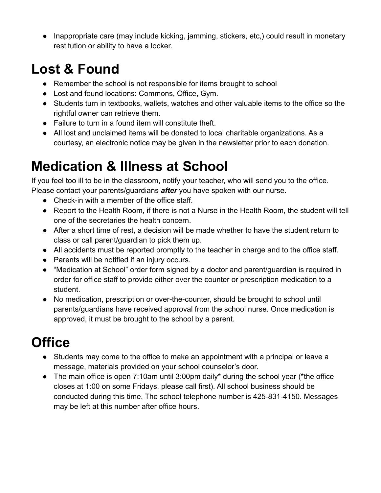● Inappropriate care (may include kicking, jamming, stickers, etc,) could result in monetary restitution or ability to have a locker.

### **Lost & Found**

- Remember the school is not responsible for items brought to school
- Lost and found locations: Commons, Office, Gym.
- Students turn in textbooks, wallets, watches and other valuable items to the office so the rightful owner can retrieve them.
- Failure to turn in a found item will constitute theft.
- All lost and unclaimed items will be donated to local charitable organizations. As a courtesy, an electronic notice may be given in the newsletter prior to each donation.

## **Medication & Illness at School**

If you feel too ill to be in the classroom, notify your teacher, who will send you to the office. Please contact your parents/guardians *after* you have spoken with our nurse.

- Check-in with a member of the office staff.
- Report to the Health Room, if there is not a Nurse in the Health Room, the student will tell one of the secretaries the health concern.
- After a short time of rest, a decision will be made whether to have the student return to class or call parent/guardian to pick them up.
- All accidents must be reported promptly to the teacher in charge and to the office staff.
- Parents will be notified if an injury occurs.
- "Medication at School" order form signed by a doctor and parent/guardian is required in order for office staff to provide either over the counter or prescription medication to a student.
- No medication, prescription or over-the-counter, should be brought to school until parents/guardians have received approval from the school nurse. Once medication is approved, it must be brought to the school by a parent.

# **Office**

- Students may come to the office to make an appointment with a principal or leave a message, materials provided on your school counselor's door.
- The main office is open 7:10am until 3:00pm daily\* during the school year (\*the office closes at 1:00 on some Fridays, please call first). All school business should be conducted during this time. The school telephone number is 425-831-4150. Messages may be left at this number after office hours.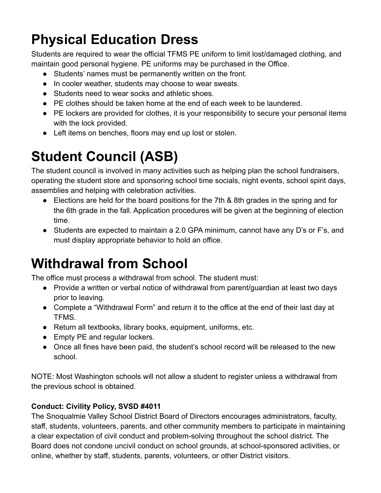# **Physical Education Dress**

Students are required to wear the official TFMS PE uniform to limit lost/damaged clothing, and maintain good personal hygiene. PE uniforms may be purchased in the Office.

- Students' names must be permanently written on the front.
- In cooler weather, students may choose to wear sweats.
- Students need to wear socks and athletic shoes.
- PE clothes should be taken home at the end of each week to be laundered.
- PE lockers are provided for clothes, it is your responsibility to secure your personal items with the lock provided.
- Left items on benches, floors may end up lost or stolen.

# **Student Council (ASB)**

The student council is involved in many activities such as helping plan the school fundraisers, operating the student store and sponsoring school time socials, night events, school spirit days, assemblies and helping with celebration activities.

- Elections are held for the board positions for the 7th & 8th grades in the spring and for the 6th grade in the fall. Application procedures will be given at the beginning of election time.
- Students are expected to maintain a 2.0 GPA minimum, cannot have any D's or F's, and must display appropriate behavior to hold an office.

## **Withdrawal from School**

The office must process a withdrawal from school. The student must:

- Provide a written or verbal notice of withdrawal from parent/guardian at least two days prior to leaving.
- Complete a "Withdrawal Form" and return it to the office at the end of their last day at **TFMS**
- Return all textbooks, library books, equipment, uniforms, etc.
- Empty PE and regular lockers.
- Once all fines have been paid, the student's school record will be released to the new school.

NOTE: Most Washington schools will not allow a student to register unless a withdrawal from the previous school is obtained.

#### **Conduct: Civility Policy, SVSD #4011**

The Snoqualmie Valley School District Board of Directors encourages administrators, faculty, staff, students, volunteers, parents, and other community members to participate in maintaining a clear expectation of civil conduct and problem-solving throughout the school district. The Board does not condone uncivil conduct on school grounds, at school-sponsored activities, or online, whether by staff, students, parents, volunteers, or other District visitors.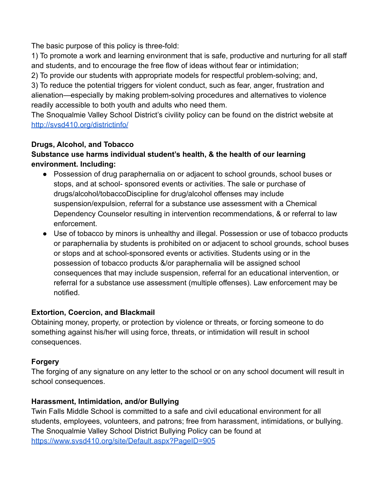The basic purpose of this policy is three-fold:

1) To promote a work and learning environment that is safe, productive and nurturing for all staff and students, and to encourage the free flow of ideas without fear or intimidation;

2) To provide our students with appropriate models for respectful problem-solving; and,

3) To reduce the potential triggers for violent conduct, such as fear, anger, frustration and alienation—especially by making problem-solving procedures and alternatives to violence readily accessible to both youth and adults who need them.

The Snoqualmie Valley School District's civility policy can be found on the district website at <http://svsd410.org/districtinfo/>

#### **Drugs, Alcohol, and Tobacco**

#### **Substance use harms individual student's health, & the health of our learning environment. Including:**

- Possession of drug paraphernalia on or adjacent to school grounds, school buses or stops, and at school- sponsored events or activities. The sale or purchase of drugs/alcohol/tobaccoDiscipline for drug/alcohol offenses may include suspension/expulsion, referral for a substance use assessment with a Chemical Dependency Counselor resulting in intervention recommendations, & or referral to law enforcement.
- Use of tobacco by minors is unhealthy and illegal. Possession or use of tobacco products or paraphernalia by students is prohibited on or adjacent to school grounds, school buses or stops and at school-sponsored events or activities. Students using or in the possession of tobacco products &/or paraphernalia will be assigned school consequences that may include suspension, referral for an educational intervention, or referral for a substance use assessment (multiple offenses). Law enforcement may be notified.

#### **Extortion, Coercion, and Blackmail**

Obtaining money, property, or protection by violence or threats, or forcing someone to do something against his/her will using force, threats, or intimidation will result in school consequences.

#### **Forgery**

The forging of any signature on any letter to the school or on any school document will result in school consequences.

#### **Harassment, Intimidation, and/or Bullying**

Twin Falls Middle School is committed to a safe and civil educational environment for all students, employees, volunteers, and patrons; free from harassment, intimidations, or bullying. The Snoqualmie Valley School District Bullying Policy can be found at <https://www.svsd410.org/site/Default.aspx?PageID=905>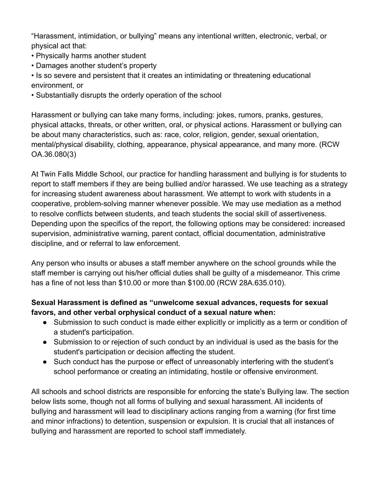"Harassment, intimidation, or bullying" means any intentional written, electronic, verbal, or physical act that:

- Physically harms another student
- Damages another student's property

• Is so severe and persistent that it creates an intimidating or threatening educational environment, or

• Substantially disrupts the orderly operation of the school

Harassment or bullying can take many forms, including: jokes, rumors, pranks, gestures, physical attacks, threats, or other written, oral, or physical actions. Harassment or bullying can be about many characteristics, such as: race, color, religion, gender, sexual orientation, mental/physical disability, clothing, appearance, physical appearance, and many more. (RCW OA.36.080(3)

At Twin Falls Middle School, our practice for handling harassment and bullying is for students to report to staff members if they are being bullied and/or harassed. We use teaching as a strategy for increasing student awareness about harassment. We attempt to work with students in a cooperative, problem-solving manner whenever possible. We may use mediation as a method to resolve conflicts between students, and teach students the social skill of assertiveness. Depending upon the specifics of the report, the following options may be considered: increased supervision, administrative warning, parent contact, official documentation, administrative discipline, and or referral to law enforcement.

Any person who insults or abuses a staff member anywhere on the school grounds while the staff member is carrying out his/her official duties shall be guilty of a misdemeanor. This crime has a fine of not less than \$10.00 or more than \$100.00 (RCW 28A.635.010).

#### **Sexual Harassment is defined as "unwelcome sexual advances, requests for sexual favors, and other verbal orphysical conduct of a sexual nature when:**

- Submission to such conduct is made either explicitly or implicitly as a term or condition of a student's participation.
- Submission to or rejection of such conduct by an individual is used as the basis for the student's participation or decision affecting the student.
- Such conduct has the purpose or effect of unreasonably interfering with the student's school performance or creating an intimidating, hostile or offensive environment.

All schools and school districts are responsible for enforcing the state's Bullying law. The section below lists some, though not all forms of bullying and sexual harassment. All incidents of bullying and harassment will lead to disciplinary actions ranging from a warning (for first time and minor infractions) to detention, suspension or expulsion. It is crucial that all instances of bullying and harassment are reported to school staff immediately.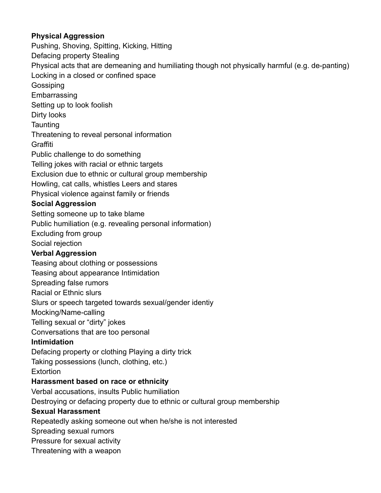#### **Physical Aggression**

Pushing, Shoving, Spitting, Kicking, Hitting Defacing property Stealing Physical acts that are demeaning and humiliating though not physically harmful (e.g. de-panting) Locking in a closed or confined space **Gossiping Embarrassing** Setting up to look foolish Dirty looks **Taunting** Threatening to reveal personal information **Graffiti** Public challenge to do something Telling jokes with racial or ethnic targets Exclusion due to ethnic or cultural group membership Howling, cat calls, whistles Leers and stares Physical violence against family or friends **Social Aggression** Setting someone up to take blame Public humiliation (e.g. revealing personal information) Excluding from group Social rejection **Verbal Aggression** Teasing about clothing or possessions Teasing about appearance Intimidation Spreading false rumors Racial or Ethnic slurs Slurs or speech targeted towards sexual/gender identiy Mocking/Name-calling Telling sexual or "dirty" jokes Conversations that are too personal **Intimidation** Defacing property or clothing Playing a dirty trick Taking possessions (lunch, clothing, etc.) **Extortion Harassment based on race or ethnicity** Verbal accusations, insults Public humiliation Destroying or defacing property due to ethnic or cultural group membership **Sexual Harassment** Repeatedly asking someone out when he/she is not interested Spreading sexual rumors Pressure for sexual activity Threatening with a weapon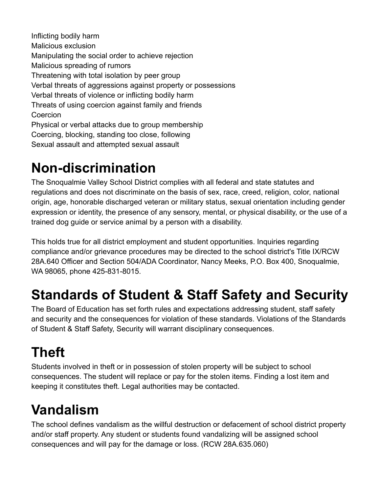Inflicting bodily harm Malicious exclusion Manipulating the social order to achieve rejection Malicious spreading of rumors Threatening with total isolation by peer group Verbal threats of aggressions against property or possessions Verbal threats of violence or inflicting bodily harm Threats of using coercion against family and friends Coercion Physical or verbal attacks due to group membership Coercing, blocking, standing too close, following Sexual assault and attempted sexual assault

### **Non-discrimination**

The Snoqualmie Valley School District complies with all federal and state statutes and regulations and does not discriminate on the basis of sex, race, creed, religion, color, national origin, age, honorable discharged veteran or military status, sexual orientation including gender expression or identity, the presence of any sensory, mental, or physical disability, or the use of a trained dog guide or service animal by a person with a disability.

This holds true for all district employment and student opportunities. Inquiries regarding compliance and/or grievance procedures may be directed to the school district's Title IX/RCW 28A.640 Officer and Section 504/ADA Coordinator, Nancy Meeks, P.O. Box 400, Snoqualmie, WA 98065, phone 425-831-8015.

## **Standards of Student & Staff Safety and Security**

The Board of Education has set forth rules and expectations addressing student, staff safety and security and the consequences for violation of these standards. Violations of the Standards of Student & Staff Safety, Security will warrant disciplinary consequences.

# **Theft**

Students involved in theft or in possession of stolen property will be subject to school consequences. The student will replace or pay for the stolen items. Finding a lost item and keeping it constitutes theft. Legal authorities may be contacted.

# **Vandalism**

The school defines vandalism as the willful destruction or defacement of school district property and/or staff property. Any student or students found vandalizing will be assigned school consequences and will pay for the damage or loss. (RCW 28A.635.060)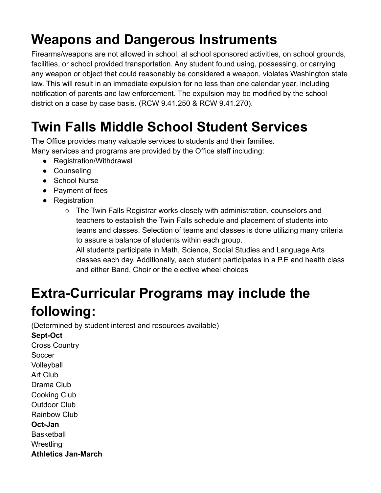## **Weapons and Dangerous Instruments**

Firearms/weapons are not allowed in school, at school sponsored activities, on school grounds, facilities, or school provided transportation. Any student found using, possessing, or carrying any weapon or object that could reasonably be considered a weapon, violates Washington state law. This will result in an immediate expulsion for no less than one calendar year, including notification of parents and law enforcement. The expulsion may be modified by the school district on a case by case basis. (RCW 9.41.250 & RCW 9.41.270).

## **Twin Falls Middle School Student Services**

The Office provides many valuable services to students and their families. Many services and programs are provided by the Office staff including:

- Registration/Withdrawal
- Counseling
- School Nurse
- Payment of fees
- Registration
	- The Twin Falls Registrar works closely with administration, counselors and teachers to establish the Twin Falls schedule and placement of students into teams and classes. Selection of teams and classes is done utilizing many criteria to assure a balance of students within each group.

All students participate in Math, Science, Social Studies and Language Arts classes each day. Additionally, each student participates in a P.E and health class and either Band, Choir or the elective wheel choices

# **Extra-Curricular Programs may include the**

### **following:**

(Determined by student interest and resources available)

**Sept-Oct** Cross Country **Soccer** Volleyball Art Club Drama Club Cooking Club Outdoor Club Rainbow Club **Oct-Jan Basketball Wrestling Athletics Jan-March**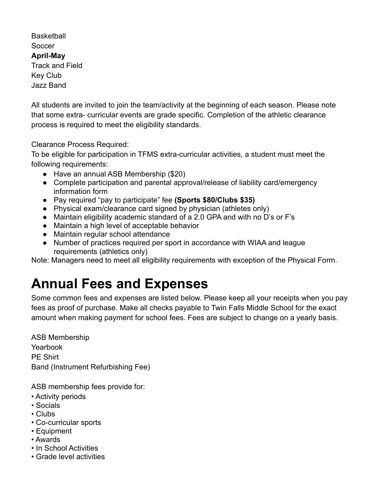**Basketball Soccer April-May** Track and Field Key Club Jazz Band

All students are invited to join the team/activity at the beginning of each season. Please note that some extra- curricular events are grade specific. Completion of the athletic clearance process is required to meet the eligibility standards.

Clearance Process Required:

To be eligible for participation in TFMS extra-curricular activities, a student must meet the following requirements:

- Have an annual ASB Membership (\$20)
- Complete participation and parental approval/release of liability card/emergency information form
- Pay required "pay to participate" fee **(Sports \$80/Clubs \$35)**
- Physical exam/clearance card signed by physician (athletes only)
- Maintain eligibility academic standard of a 2.0 GPA and with no D's or F's
- Maintain a high level of acceptable behavior
- Maintain regular school attendance
- Number of practices required per sport in accordance with WIAA and league requirements (athletics only)

Note: Managers need to meet all eligibility requirements with exception of the Physical Form.

### **Annual Fees and Expenses**

Some common fees and expenses are listed below. Please keep all your receipts when you pay fees as proof of purchase. Make all checks payable to Twin Falls Middle School for the exact amount when making payment for school fees. Fees are subject to change on a yearly basis.

ASB Membership Yearbook PE Shirt Band (Instrument Refurbishing Fee)

ASB membership fees provide for:

- Activity periods
- Socials
- Clubs
- Co-curricular sports
- Equipment
- Awards
- In School Activities
- Grade level activities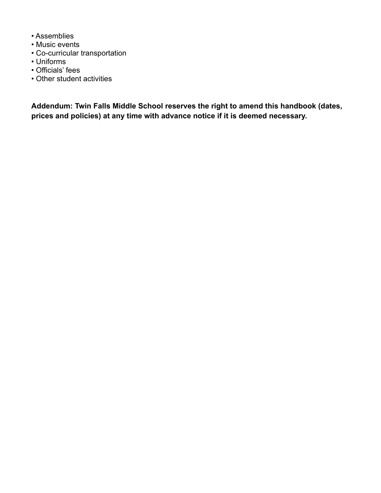- Assemblies
- Music events
- Co-curricular transportation
- Uniforms
- Officials' fees
- Other student activities

**Addendum: Twin Falls Middle School reserves the right to amend this handbook (dates, prices and policies) at any time with advance notice if it is deemed necessary.**